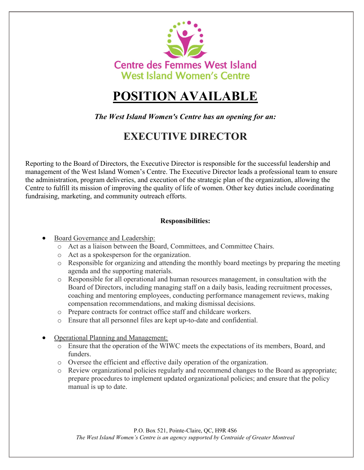

# POSITION AVAILABLE

The West Island Women's Centre has an opening for an:

# EXECUTIVE DIRECTOR

Reporting to the Board of Directors, the Executive Director is responsible for the successful leadership and management of the West Island Women's Centre. The Executive Director leads a professional team to ensure the administration, program deliveries, and execution of the strategic plan of the organization, allowing the Centre to fulfill its mission of improving the quality of life of women. Other key duties include coordinating fundraising, marketing, and community outreach efforts.

#### Responsibilities:

- Board Governance and Leadership:
	- o Act as a liaison between the Board, Committees, and Committee Chairs.
	- o Act as a spokesperson for the organization.
	- o Responsible for organizing and attending the monthly board meetings by preparing the meeting agenda and the supporting materials.
	- o Responsible for all operational and human resources management, in consultation with the Board of Directors, including managing staff on a daily basis, leading recruitment processes, coaching and mentoring employees, conducting performance management reviews, making compensation recommendations, and making dismissal decisions.
	- o Prepare contracts for contract office staff and childcare workers.
	- o Ensure that all personnel files are kept up-to-date and confidential.
- Operational Planning and Management:
	- o Ensure that the operation of the WIWC meets the expectations of its members, Board, and funders.
	- o Oversee the efficient and effective daily operation of the organization.
	- o Review organizational policies regularly and recommend changes to the Board as appropriate; prepare procedures to implement updated organizational policies; and ensure that the policy manual is up to date.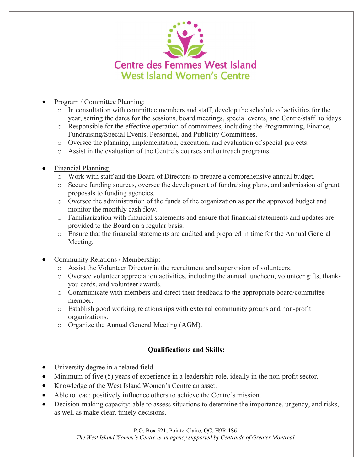

#### Program / Committee Planning:

- $\circ$  In consultation with committee members and staff, develop the schedule of activities for the year, setting the dates for the sessions, board meetings, special events, and Centre/staff holidays.
- o Responsible for the effective operation of committees, including the Programming, Finance, Fundraising/Special Events, Personnel, and Publicity Committees.
- o Oversee the planning, implementation, execution, and evaluation of special projects.
- o Assist in the evaluation of the Centre's courses and outreach programs.
- Financial Planning:
	- o Work with staff and the Board of Directors to prepare a comprehensive annual budget.
	- o Secure funding sources, oversee the development of fundraising plans, and submission of grant proposals to funding agencies.
	- o Oversee the administration of the funds of the organization as per the approved budget and monitor the monthly cash flow.
	- o Familiarization with financial statements and ensure that financial statements and updates are provided to the Board on a regular basis.
	- o Ensure that the financial statements are audited and prepared in time for the Annual General Meeting.
- Community Relations / Membership:
	- Assist the Volunteer Director in the recruitment and supervision of volunteers.
	- o Oversee volunteer appreciation activities, including the annual luncheon, volunteer gifts, thankyou cards, and volunteer awards.
	- o Communicate with members and direct their feedback to the appropriate board/committee member.
	- o Establish good working relationships with external community groups and non-profit organizations.
	- o Organize the Annual General Meeting (AGM).

# Qualifications and Skills:

- University degree in a related field.
- Minimum of five (5) years of experience in a leadership role, ideally in the non-profit sector.
- Knowledge of the West Island Women's Centre an asset.
- Able to lead: positively influence others to achieve the Centre's mission.
- Decision-making capacity: able to assess situations to determine the importance, urgency, and risks, as well as make clear, timely decisions.

P.O. Box 521, Pointe-Claire, QC, H9R 4S6

The West Island Women's Centre is an agency supported by Centraide of Greater Montreal